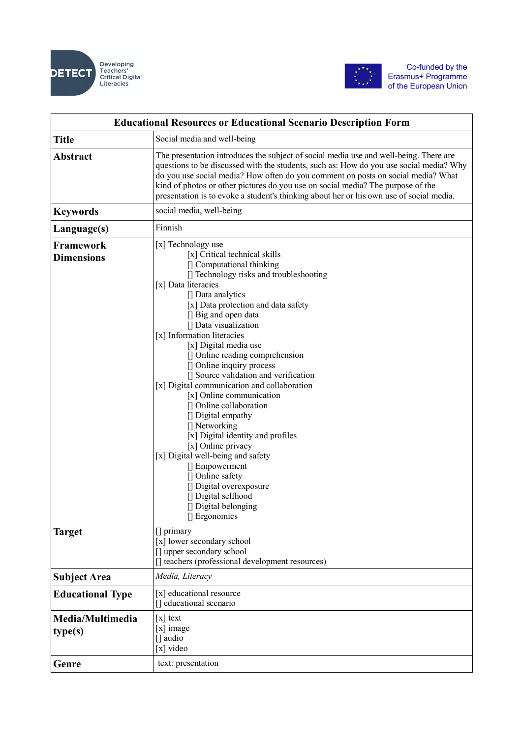



| <b>Educational Resources or Educational Scenario Description Form</b> |                                                                                                                                                                                                                                                                                                                                                                                                                                                                                                                                                                                                                                                                                                                                                                                                               |
|-----------------------------------------------------------------------|---------------------------------------------------------------------------------------------------------------------------------------------------------------------------------------------------------------------------------------------------------------------------------------------------------------------------------------------------------------------------------------------------------------------------------------------------------------------------------------------------------------------------------------------------------------------------------------------------------------------------------------------------------------------------------------------------------------------------------------------------------------------------------------------------------------|
| <b>Title</b>                                                          | Social media and well-being                                                                                                                                                                                                                                                                                                                                                                                                                                                                                                                                                                                                                                                                                                                                                                                   |
| <b>Abstract</b>                                                       | The presentation introduces the subject of social media use and well-being. There are<br>questions to be discussed with the students, such as: How do you use social media? Why<br>do you use social media? How often do you comment on posts on social media? What<br>kind of photos or other pictures do you use on social media? The purpose of the<br>presentation is to evoke a student's thinking about her or his own use of social media.                                                                                                                                                                                                                                                                                                                                                             |
| <b>Keywords</b>                                                       | social media, well-being                                                                                                                                                                                                                                                                                                                                                                                                                                                                                                                                                                                                                                                                                                                                                                                      |
| Language(s)                                                           | Finnish                                                                                                                                                                                                                                                                                                                                                                                                                                                                                                                                                                                                                                                                                                                                                                                                       |
| Framework<br><b>Dimensions</b>                                        | [x] Technology use<br>[x] Critical technical skills<br>[] Computational thinking<br>[] Technology risks and troubleshooting<br>[x] Data literacies<br>[] Data analytics<br>[x] Data protection and data safety<br>[] Big and open data<br>[] Data visualization<br>[x] Information literacies<br>[x] Digital media use<br>[] Online reading comprehension<br>[] Online inquiry process<br>[] Source validation and verification<br>[x] Digital communication and collaboration<br>[x] Online communication<br>[] Online collaboration<br>[] Digital empathy<br>[] Networking<br>[x] Digital identity and profiles<br>[x] Online privacy<br>[x] Digital well-being and safety<br>[] Empowerment<br>[] Online safety<br>[] Digital overexposure<br>[] Digital selfhood<br>[] Digital belonging<br>[] Ergonomics |
| Target                                                                | [] primary<br>[x] lower secondary school<br>[] upper secondary school<br>[] teachers (professional development resources)                                                                                                                                                                                                                                                                                                                                                                                                                                                                                                                                                                                                                                                                                     |
| <b>Subject Area</b>                                                   | Media, Literacy                                                                                                                                                                                                                                                                                                                                                                                                                                                                                                                                                                                                                                                                                                                                                                                               |
| <b>Educational Type</b>                                               | [x] educational resource<br>[] educational scenario                                                                                                                                                                                                                                                                                                                                                                                                                                                                                                                                                                                                                                                                                                                                                           |
| Media/Multimedia<br>type(s)                                           | $\lceil x \rceil$ text<br>$[x]$ image<br>[] audio<br>[x] video                                                                                                                                                                                                                                                                                                                                                                                                                                                                                                                                                                                                                                                                                                                                                |
| Genre                                                                 | text: presentation                                                                                                                                                                                                                                                                                                                                                                                                                                                                                                                                                                                                                                                                                                                                                                                            |